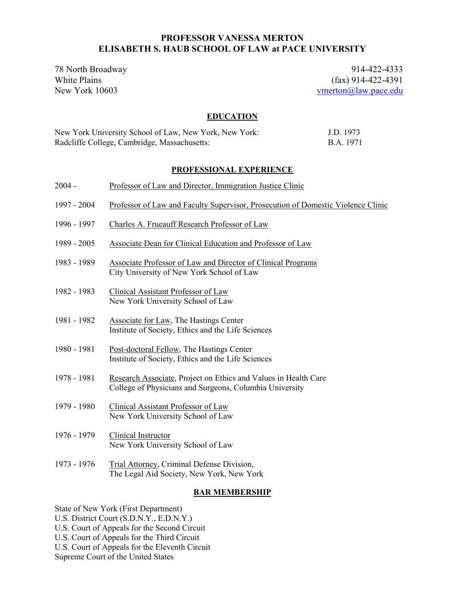# **PROFESSOR VANESSA MERTON ELISABETH S. HAUB SCHOOL OF LAW at PACE UNIVERSITY**

78 North Broadway 914-422-4333<br>White Plains (fax) 914-422-4391 White Plains (fax) 914-422-4391<br>New York 10603 vertical and the state of the contract of the vertical state of the vertical state of the vertical state of the vertical state of the vertical state of the vertical state of t [vmerton@law.pace.edu](mailto:vmerton@law.pace.edu)

# **EDUCATION**

| New York University School of Law, New York, New York: | J.D. 1973 |
|--------------------------------------------------------|-----------|
| Radcliffe College, Cambridge, Massachusetts:           | B.A. 1971 |

# **PROFESSIONAL EXPERIENCE**

| $2004 -$    | Professor of Law and Director, Immigration Justice Clinic                                                                  |
|-------------|----------------------------------------------------------------------------------------------------------------------------|
| 1997 - 2004 | Professor of Law and Faculty Supervisor, Prosecution of Domestic Violence Clinic                                           |
| 1996 - 1997 | Charles A. Frueauff Research Professor of Law                                                                              |
| 1989 - 2005 | Associate Dean for Clinical Education and Professor of Law                                                                 |
| 1983 - 1989 | Associate Professor of Law and Director of Clinical Programs<br>City University of New York School of Law                  |
| 1982 - 1983 | Clinical Assistant Professor of Law<br>New York University School of Law                                                   |
| 1981 - 1982 | Associate for Law, The Hastings Center<br>Institute of Society, Ethics and the Life Sciences                               |
| 1980 - 1981 | Post-doctoral Fellow, The Hastings Center<br>Institute of Society, Ethics and the Life Sciences                            |
| 1978 - 1981 | Research Associate, Project on Ethics and Values in Health Care<br>College of Physicians and Surgeons, Columbia University |
| 1979 - 1980 | Clinical Assistant Professor of Law<br>New York University School of Law                                                   |
| 1976 - 1979 | Clinical Instructor<br>New York University School of Law                                                                   |
| 1973 - 1976 | Trial Attorney, Criminal Defense Division,<br>The Legal Aid Society, New York, New York                                    |
|             |                                                                                                                            |

# **BAR MEMBERSHIP**

State of New York (First Department)

U.S. District Court (S.D.N.Y., E.D.N.Y.)

U.S. Court of Appeals for the Second Circuit

U.S. Court of Appeals for the Third Circuit

U.S. Court of Appeals for the Eleventh Circuit

Supreme Court of the United States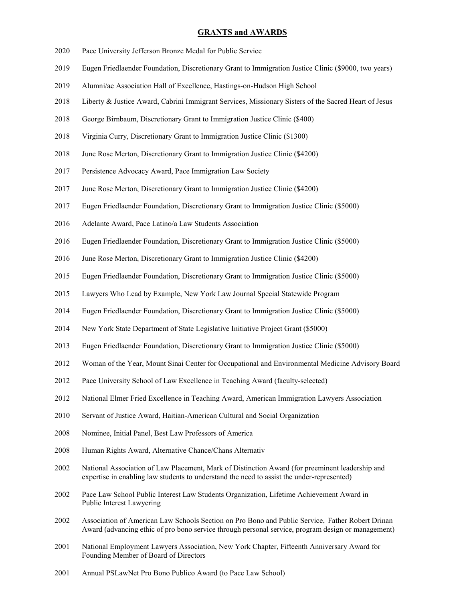#### **GRANTS and AWARDS**

- Pace University Jefferson Bronze Medal for Public Service
- Eugen Friedlaender Foundation, Discretionary Grant to Immigration Justice Clinic (\$9000, two years)
- Alumni/ae Association Hall of Excellence, Hastings-on-Hudson High School
- Liberty & Justice Award, Cabrini Immigrant Services, Missionary Sisters of the Sacred Heart of Jesus
- 2018 George Birnbaum, Discretionary Grant to Immigration Justice Clinic (\$400)
- Virginia Curry, Discretionary Grant to Immigration Justice Clinic (\$1300)
- June Rose Merton, Discretionary Grant to Immigration Justice Clinic (\$4200)
- Persistence Advocacy Award, Pace Immigration Law Society
- June Rose Merton, Discretionary Grant to Immigration Justice Clinic (\$4200)
- Eugen Friedlaender Foundation, Discretionary Grant to Immigration Justice Clinic (\$5000)
- 2016 Adelante Award, Pace Latino/a Law Students Association
- Eugen Friedlaender Foundation, Discretionary Grant to Immigration Justice Clinic (\$5000)
- June Rose Merton, Discretionary Grant to Immigration Justice Clinic (\$4200)
- Eugen Friedlaender Foundation, Discretionary Grant to Immigration Justice Clinic (\$5000)
- Lawyers Who Lead by Example, New York Law Journal Special Statewide Program
- Eugen Friedlaender Foundation, Discretionary Grant to Immigration Justice Clinic (\$5000)
- New York State Department of State Legislative Initiative Project Grant (\$5000)
- Eugen Friedlaender Foundation, Discretionary Grant to Immigration Justice Clinic (\$5000)
- Woman of the Year, Mount Sinai Center for Occupational and Environmental Medicine Advisory Board
- Pace University School of Law Excellence in Teaching Award (faculty-selected)
- National Elmer Fried Excellence in Teaching Award, American Immigration Lawyers Association
- Servant of Justice Award, Haitian-American Cultural and Social Organization
- Nominee, Initial Panel, Best Law Professors of America
- Human Rights Award, Alternative Chance/Chans Alternativ
- National Association of Law Placement, Mark of Distinction Award (for preeminent leadership and expertise in enabling law students to understand the need to assist the under-represented)
- Pace Law School Public Interest Law Students Organization, Lifetime Achievement Award in Public Interest Lawyering
- 2002 Association of American Law Schools Section on Pro Bono and Public Service, Father Robert Drinan Award (advancing ethic of pro bono service through personal service, program design or management)
- National Employment Lawyers Association, New York Chapter, Fifteenth Anniversary Award for Founding Member of Board of Directors
- Annual PSLawNet Pro Bono Publico Award (to Pace Law School)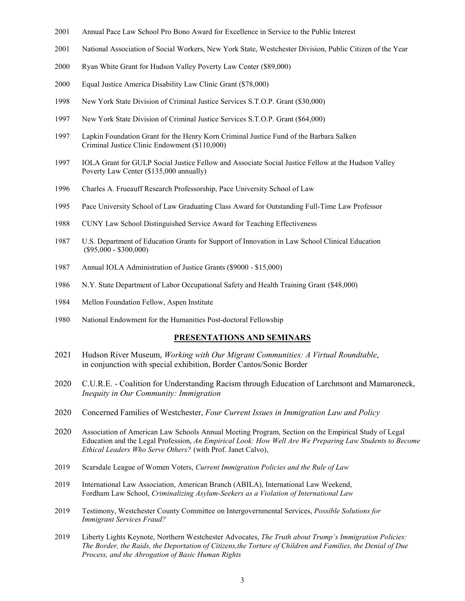- 2001 Annual Pace Law School Pro Bono Award for Excellence in Service to the Public Interest
- 2001 National Association of Social Workers, New York State, Westchester Division, Public Citizen of the Year
- 2000 Ryan White Grant for Hudson Valley Poverty Law Center (\$89,000)
- 2000 Equal Justice America Disability Law Clinic Grant (\$78,000)
- 1998 New York State Division of Criminal Justice Services S.T.O.P. Grant (\$30,000)
- 1997 New York State Division of Criminal Justice Services S.T.O.P. Grant (\$64,000)
- 1997 Lapkin Foundation Grant for the Henry Korn Criminal Justice Fund of the Barbara Salken Criminal Justice Clinic Endowment (\$110,000)
- 1997 IOLA Grant for GULP Social Justice Fellow and Associate Social Justice Fellow at the Hudson Valley Poverty Law Center (\$135,000 annually)
- 1996 Charles A. Frueauff Research Professorship, Pace University School of Law
- 1995 Pace University School of Law Graduating Class Award for Outstanding Full-Time Law Professor
- 1988 CUNY Law School Distinguished Service Award for Teaching Effectiveness
- 1987 U.S. Department of Education Grants for Support of Innovation in Law School Clinical Education (\$95,000 - \$300,000)
- 1987 Annual IOLA Administration of Justice Grants (\$9000 \$15,000)
- 1986 N.Y. State Department of Labor Occupational Safety and Health Training Grant (\$48,000)
- 1984 Mellon Foundation Fellow, Aspen Institute
- 1980 National Endowment for the Humanities Post-doctoral Fellowship

#### **PRESENTATIONS AND SEMINARS**

- 2021 Hudson River Museum, *Working with Our Migrant Communities: A Virtual Roundtable*, in conjunction with special exhibition, Border Cantos/Sonic Border
- 2020 C.U.R.E. Coalition for Understanding Racism through Education of Larchmont and Mamaroneck, *Inequity in Our Community: Immigration*
- 2020 Concerned Families of Westchester, *Four Current Issues in Immigration Law and Policy*
- 2020 Association of American Law Schools Annual Meeting Program, Section on the Empirical Study of Legal Education and the Legal Profession, *An Empirical Look: How Well Are We Preparing Law Students to Become Ethical Leaders Who Serve Others?* (with Prof. Janet Calvo),
- 2019 Scarsdale League of Women Voters, *Current Immigration Policies and the Rule of Law*
- 2019 International Law Association, American Branch (ABILA), International Law Weekend, Fordham Law School, *Criminalizing Asylum-Seekers as a Violation of International Law*
- 2019 Testimony, Westchester County Committee on Intergovernmental Services, *Possible Solutions for Immigrant Services Fraud?*
- 2019 Liberty Lights Keynote, Northern Westchester Advocates, *The Truth about Trump's Immigration Policies: The Border, the Raids, the Deportation of Citizens,the Torture of Children and Families, the Denial of Due Process, and the Abrogation of Basic Human Rights*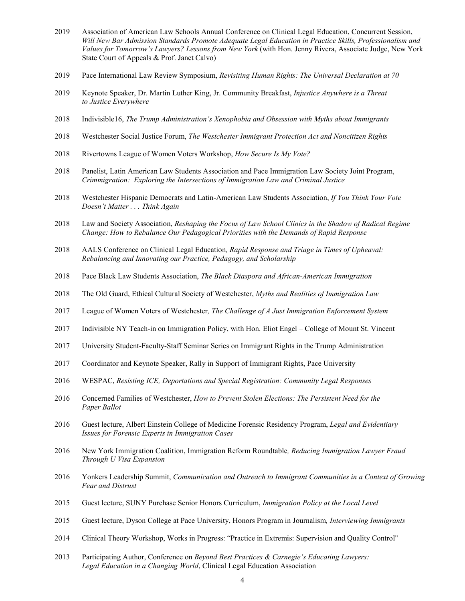- Association of American Law Schools Annual Conference on Clinical Legal Education, Concurrent Session, *Will New Bar Admission Standards Promote Adequate Legal Education in Practice Skills, Professionalism and Values for Tomorrow's Lawyers? Lessons from New York* (with Hon. Jenny Rivera, Associate Judge, New York State Court of Appeals & Prof. Janet Calvo)
- Pace International Law Review Symposium, *Revisiting Human Rights: The Universal Declaration at 70*
- Keynote Speaker, Dr. Martin Luther King, Jr. Community Breakfast, *Injustice Anywhere is a Threat to Justice Everywhere*
- Indivisible16, *The Trump Administration's Xenophobia and Obsession with Myths about Immigrants*
- Westchester Social Justice Forum, *The Westchester Immigrant Protection Act and Noncitizen Rights*
- Rivertowns League of Women Voters Workshop, *How Secure Is My Vote?*
- Panelist, Latin American Law Students Association and Pace Immigration Law Society Joint Program, *Crimmigration: Exploring the Intersections of Immigration Law and Criminal Justice*
- Westchester Hispanic Democrats and Latin-American Law Students Association, *If You Think Your Vote Doesn't Matter . . . Think Again*
- Law and Society Association, *Reshaping the Focus of Law School Clinics in the Shadow of Radical Regime Change: How to Rebalance Our Pedagogical Priorities with the Demands of Rapid Response*
- AALS Conference on Clinical Legal Education*, Rapid Response and Triage in Times of Upheaval: Rebalancing and Innovating our Practice, Pedagogy, and Scholarship*
- Pace Black Law Students Association, *The Black Diaspora and African-American Immigration*
- The Old Guard, Ethical Cultural Society of Westchester, *Myths and Realities of Immigration Law*
- League of Women Voters of Westchester*, The Challenge of A Just Immigration Enforcement System*
- Indivisible NY Teach-in on Immigration Policy, with Hon. Eliot Engel College of Mount St. Vincent
- University Student-Faculty-Staff Seminar Series on Immigrant Rights in the Trump Administration
- Coordinator and Keynote Speaker, Rally in Support of Immigrant Rights, Pace University
- WESPAC, *Resisting ICE, Deportations and Special Registration: Community Legal Responses*
- Concerned Families of Westchester, *How to Prevent Stolen Elections: The Persistent Need for the Paper Ballot*
- Guest lecture, Albert Einstein College of Medicine Forensic Residency Program, *Legal and Evidentiary Issues for Forensic Experts in Immigration Cases*
- New York Immigration Coalition, Immigration Reform Roundtable*, Reducing Immigration Lawyer Fraud Through U Visa Expansion*
- 2016 Yonkers Leadership Summit, *Communication and Outreach to Immigrant Communities in a Context of Growing Fear and Distrust*
- Guest lecture, SUNY Purchase Senior Honors Curriculum, *Immigration Policy at the Local Level*
- Guest lecture, Dyson College at Pace University, Honors Program in Journalism*, Interviewing Immigrants*
- Clinical Theory Workshop, Works in Progress: "Practice in Extremis: Supervision and Quality Control"
- Participating Author, Conference on *Beyond Best Practices & Carnegie's Educating Lawyers: Legal Education in a Changing World*, Clinical Legal Education Association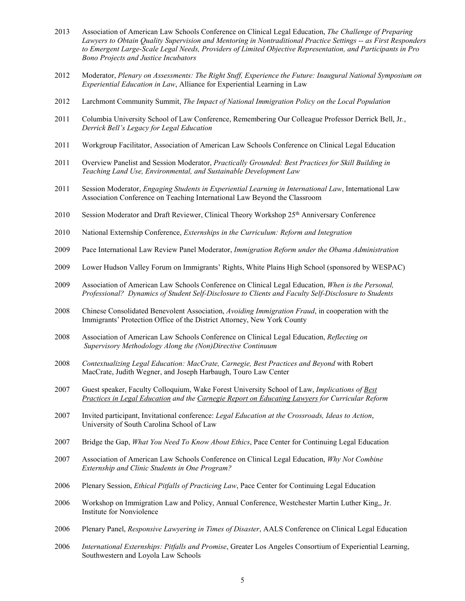- 2013 Association of American Law Schools Conference on Clinical Legal Education, *The Challenge of Preparing Lawyers to Obtain Quality Supervision and Mentoring in Nontraditional Practice Settings -- as First Responders to Emergent Large-Scale Legal Needs, Providers of Limited Objective Representation, and Participants in Pro Bono Projects and Justice Incubators*
- 2012 Moderator, *Plenary on Assessments: The Right Stuff, Experience the Future: Inaugural National Symposium on Experiential Education in Law*, Alliance for Experiential Learning in Law
- 2012 Larchmont Community Summit, *The Impact of National Immigration Policy on the Local Population*
- 2011 Columbia University School of Law Conference, Remembering Our Colleague Professor Derrick Bell, Jr*.*, *Derrick Bell's Legacy for Legal Education*
- 2011 Workgroup Facilitator, Association of American Law Schools Conference on Clinical Legal Education
- 2011 Overview Panelist and Session Moderator, *Practically Grounded: Best Practices for Skill Building in Teaching Land Use, Environmental, and Sustainable Development Law*
- 2011 Session Moderator, *Engaging Students in Experiential Learning in International Law*, International Law Association Conference on Teaching International Law Beyond the Classroom
- 2010 Session Moderator and Draft Reviewer, Clinical Theory Workshop 25<sup>th</sup> Anniversary Conference
- 2010 National Externship Conference, *Externships in the Curriculum: Reform and Integration*
- 2009 Pace International Law Review Panel Moderator, *Immigration Reform under the Obama Administration*
- 2009 Lower Hudson Valley Forum on Immigrants' Rights, White Plains High School (sponsored by WESPAC)
- 2009 Association of American Law Schools Conference on Clinical Legal Education, *When is the Personal, Professional? Dynamics of Student Self-Disclosure to Clients and Faculty Self-Disclosure to Students*
- 2008 Chinese Consolidated Benevolent Association, *Avoiding Immigration Fraud*, in cooperation with the Immigrants' Protection Office of the District Attorney, New York County
- 2008 Association of American Law Schools Conference on Clinical Legal Education, *Reflecting on Supervisory Methodology Along the (Non)Directive Continuum*
- 2008 *Contextualizing Legal Education: MacCrate, Carnegie, Best Practices and Beyond* with Robert MacCrate, Judith Wegner, and Joseph Harbaugh, Touro Law Center
- 2007 Guest speaker, Faculty Colloquium, Wake Forest University School of Law, *Implications of Best Practices in Legal Education and the Carnegie Report on Educating Lawyers for Curricular Reform*
- 2007 Invited participant, Invitational conference: *Legal Education at the Crossroads, Ideas to Action*, University of South Carolina School of Law
- 2007 Bridge the Gap, *What You Need To Know About Ethics*, Pace Center for Continuing Legal Education
- 2007 Association of American Law Schools Conference on Clinical Legal Education, *Why Not Combine Externship and Clinic Students in One Program?*
- 2006 Plenary Session, *Ethical Pitfalls of Practicing Law*, Pace Center for Continuing Legal Education
- 2006 Workshop on Immigration Law and Policy, Annual Conference, Westchester Martin Luther King,, Jr. Institute for Nonviolence
- 2006 Plenary Panel, *Responsive Lawyering in Times of Disaster*, AALS Conference on Clinical Legal Education
- 2006 *International Externships: Pitfalls and Promise*, Greater Los Angeles Consortium of Experiential Learning, Southwestern and Loyola Law Schools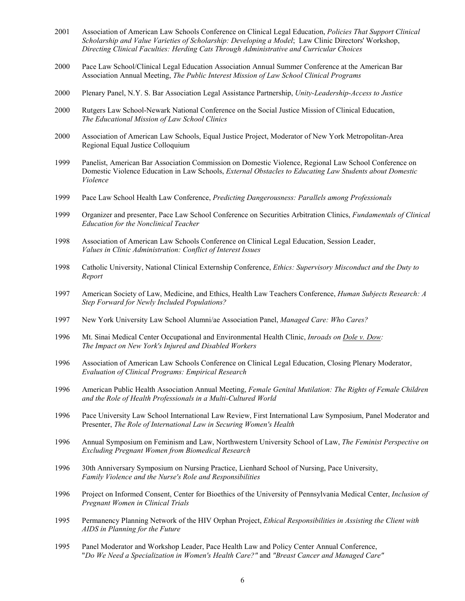- 2001 Association of American Law Schools Conference on Clinical Legal Education, *Policies That Support Clinical Scholarship and Value Varieties of Scholarship: Developing a Model*; Law Clinic Directors' Workshop, *Directing Clinical Faculties: Herding Cats Through Administrative and Curricular Choices*
- 2000 Pace Law School/Clinical Legal Education Association Annual Summer Conference at the American Bar Association Annual Meeting, *The Public Interest Mission of Law School Clinical Programs*
- 2000 Plenary Panel, N.Y. S. Bar Association Legal Assistance Partnership, *Unity-Leadership-Access to Justice*
- 2000 Rutgers Law School-Newark National Conference on the Social Justice Mission of Clinical Education, *The Educational Mission of Law School Clinics*
- 2000 Association of American Law Schools, Equal Justice Project, Moderator of New York Metropolitan-Area Regional Equal Justice Colloquium
- 1999 Panelist, American Bar Association Commission on Domestic Violence, Regional Law School Conference on Domestic Violence Education in Law Schools, *External Obstacles to Educating Law Students about Domestic Violence*
- 1999 Pace Law School Health Law Conference, *Predicting Dangerousness: Parallels among Professionals*
- 1999 Organizer and presenter, Pace Law School Conference on Securities Arbitration Clinics, *Fundamentals of Clinical Education for the Nonclinical Teacher*
- 1998 Association of American Law Schools Conference on Clinical Legal Education, Session Leader, *Values in Clinic Administration: Conflict of Interest Issues*
- 1998 Catholic University, National Clinical Externship Conference, *Ethics: Supervisory Misconduct and the Duty to Report*
- 1997 American Society of Law, Medicine, and Ethics, Health Law Teachers Conference, *Human Subjects Research: A Step Forward for Newly Included Populations?*
- 1997 New York University Law School Alumni/ae Association Panel, *Managed Care: Who Cares?*
- 1996 Mt. Sinai Medical Center Occupational and Environmental Health Clinic, *Inroads on Dole v. Dow: The Impact on New York's Injured and Disabled Workers*
- 1996 Association of American Law Schools Conference on Clinical Legal Education, Closing Plenary Moderator, *Evaluation of Clinical Programs: Empirical Research*
- 1996 American Public Health Association Annual Meeting, *Female Genital Mutilation: The Rights of Female Children and the Role of Health Professionals in a Multi-Cultured World*
- 1996 Pace University Law School International Law Review, First International Law Symposium, Panel Moderator and Presenter, *The Role of International Law in Securing Women's Health*
- 1996 Annual Symposium on Feminism and Law, Northwestern University School of Law, *The Feminist Perspective on Excluding Pregnant Women from Biomedical Research*
- 1996 30th Anniversary Symposium on Nursing Practice, Lienhard School of Nursing, Pace University, *Family Violence and the Nurse's Role and Responsibilities*
- 1996 Project on Informed Consent, Center for Bioethics of the University of Pennsylvania Medical Center, *Inclusion of Pregnant Women in Clinical Trials*
- 1995 Permanency Planning Network of the HIV Orphan Project, *Ethical Responsibilities in Assisting the Client with AIDS in Planning for the Future*
- 1995 Panel Moderator and Workshop Leader, Pace Health Law and Policy Center Annual Conference, "*Do We Need a Specialization in Women's Health Care?"* and *"Breast Cancer and Managed Care"*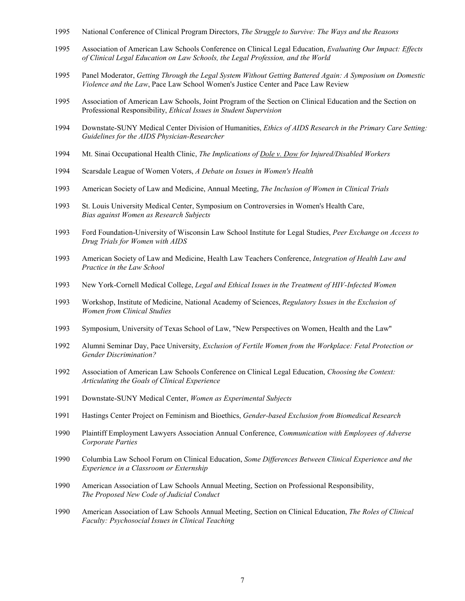- National Conference of Clinical Program Directors, *The Struggle to Survive: The Ways and the Reasons*
- Association of American Law Schools Conference on Clinical Legal Education, *Evaluating Our Impact: Effects of Clinical Legal Education on Law Schools, the Legal Profession, and the World*
- Panel Moderator, *Getting Through the Legal System Without Getting Battered Again: A Symposium on Domestic Violence and the Law*, Pace Law School Women's Justice Center and Pace Law Review
- Association of American Law Schools, Joint Program of the Section on Clinical Education and the Section on Professional Responsibility, *Ethical Issues in Student Supervision*
- Downstate-SUNY Medical Center Division of Humanities, *Ethics of AIDS Research in the Primary Care Setting: Guidelines for the AIDS Physician-Researcher*
- Mt. Sinai Occupational Health Clinic, *The Implications of Dole v. Dow for Injured/Disabled Workers*
- Scarsdale League of Women Voters, *A Debate on Issues in Women's Health*
- American Society of Law and Medicine, Annual Meeting, *The Inclusion of Women in Clinical Trials*
- St. Louis University Medical Center, Symposium on Controversies in Women's Health Care, *Bias against Women as Research Subjects*
- Ford Foundation-University of Wisconsin Law School Institute for Legal Studies, *Peer Exchange on Access to Drug Trials for Women with AIDS*
- American Society of Law and Medicine, Health Law Teachers Conference, *Integration of Health Law and Practice in the Law School*
- New York-Cornell Medical College, *Legal and Ethical Issues in the Treatment of HIV-Infected Women*
- Workshop, Institute of Medicine, National Academy of Sciences, *Regulatory Issues in the Exclusion of Women from Clinical Studies*
- Symposium, University of Texas School of Law, "New Perspectives on Women, Health and the Law"
- Alumni Seminar Day, Pace University, *Exclusion of Fertile Women from the Workplace: Fetal Protection or Gender Discrimination?*
- Association of American Law Schools Conference on Clinical Legal Education, *Choosing the Context: Articulating the Goals of Clinical Experience*
- Downstate-SUNY Medical Center, *Women as Experimental Subjects*
- Hastings Center Project on Feminism and Bioethics, *Gender-based Exclusion from Biomedical Research*
- Plaintiff Employment Lawyers Association Annual Conference, *Communication with Employees of Adverse Corporate Parties*
- Columbia Law School Forum on Clinical Education, *Some Differences Between Clinical Experience and the Experience in a Classroom or Externship*
- American Association of Law Schools Annual Meeting, Section on Professional Responsibility, *The Proposed New Code of Judicial Conduct*
- American Association of Law Schools Annual Meeting, Section on Clinical Education, *The Roles of Clinical Faculty: Psychosocial Issues in Clinical Teaching*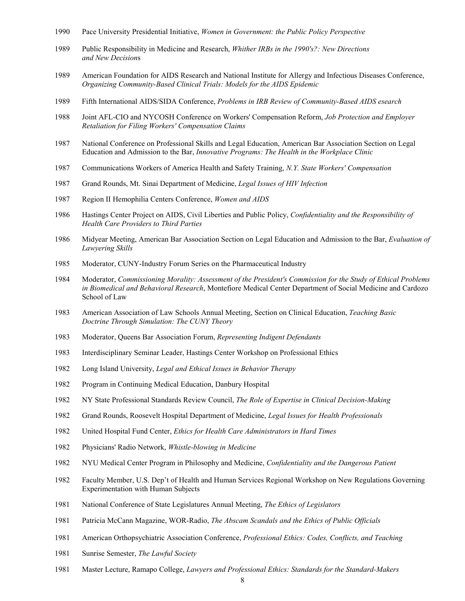- Pace University Presidential Initiative, *Women in Government: the Public Policy Perspective*
- Public Responsibility in Medicine and Research, *Whither IRBs in the 1990's?: New Directions and New Decision*s
- American Foundation for AIDS Research and National Institute for Allergy and Infectious Diseases Conference, *Organizing Community-Based Clinical Trials: Models for the AIDS Epidemic*
- Fifth International AIDS/SIDA Conference, *Problems in IRB Review of Community-Based AIDS esearch*
- Joint AFL-CIO and NYCOSH Conference on Workers' Compensation Reform, *Job Protection and Employer Retaliation for Filing Workers' Compensation Claims*
- National Conference on Professional Skills and Legal Education, American Bar Association Section on Legal Education and Admission to the Bar, *Innovative Programs: The Health in the Workplace Clinic*
- Communications Workers of America Health and Safety Training, *N.Y. State Workers' Compensation*
- Grand Rounds, Mt. Sinai Department of Medicine, *Legal Issues of HIV Infection*
- Region II Hemophilia Centers Conference, *Women and AIDS*
- Hastings Center Project on AIDS, Civil Liberties and Public Policy, *Confidentiality and the Responsibility of Health Care Providers to Third Parties*
- Midyear Meeting, American Bar Association Section on Legal Education and Admission to the Bar, *Evaluation of Lawyering Skills*
- Moderator, CUNY-Industry Forum Series on the Pharmaceutical Industry
- Moderator, *Commissioning Morality: Assessment of the President's Commission for the Study of Ethical Problems in Biomedical and Behavioral Research*, Montefiore Medical Center Department of Social Medicine and Cardozo School of Law
- American Association of Law Schools Annual Meeting, Section on Clinical Education, *Teaching Basic Doctrine Through Simulation: The CUNY Theory*
- Moderator, Queens Bar Association Forum, *Representing Indigent Defendants*
- Interdisciplinary Seminar Leader, Hastings Center Workshop on Professional Ethics
- Long Island University, *Legal and Ethical Issues in Behavior Therapy*
- Program in Continuing Medical Education, Danbury Hospital
- NY State Professional Standards Review Council, *The Role of Expertise in Clinical Decision-Making*
- Grand Rounds, Roosevelt Hospital Department of Medicine, *Legal Issues for Health Professionals*
- United Hospital Fund Center, *Ethics for Health Care Administrators in Hard Times*
- Physicians' Radio Network, *Whistle-blowing in Medicine*
- NYU Medical Center Program in Philosophy and Medicine, *Confidentiality and the Dangerous Patient*
- Faculty Member, U.S. Dep't of Health and Human Services Regional Workshop on New Regulations Governing Experimentation with Human Subjects
- National Conference of State Legislatures Annual Meeting, *The Ethics of Legislators*
- Patricia McCann Magazine, WOR-Radio, *The Abscam Scandals and the Ethics of Public Officials*
- American Orthopsychiatric Association Conference, *Professional Ethics: Codes, Conflicts, and Teaching*
- Sunrise Semester, *The Lawful Society*
- Master Lecture, Ramapo College, *Lawyers and Professional Ethics: Standards for the Standard-Makers*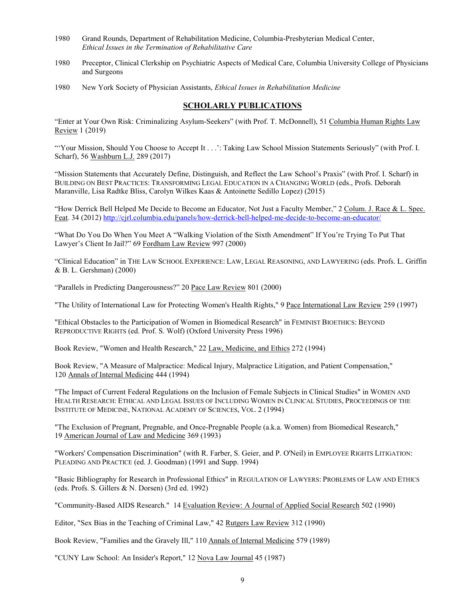- 1980 Grand Rounds, Department of Rehabilitation Medicine, Columbia-Presbyterian Medical Center, *Ethical Issues in the Termination of Rehabilitative Care*
- 1980 Preceptor, Clinical Clerkship on Psychiatric Aspects of Medical Care, Columbia University College of Physicians and Surgeons
- 1980 New York Society of Physician Assistants, *Ethical Issues in Rehabilitation Medicine*

### **SCHOLARLY PUBLICATIONS**

"Enter at Your Own Risk: Criminalizing Asylum-Seekers" (with Prof. T. McDonnell), 51 Columbia Human Rights Law Review 1 (2019)

"'Your Mission, Should You Choose to Accept It . . .': Taking Law School Mission Statements Seriously" (with Prof. I. Scharf), 56 Washburn L.J. 289 (2017)

"Mission Statements that Accurately Define, Distinguish, and Reflect the Law School's Praxis" (with Prof. I. Scharf) in BUILDING ON BEST PRACTICES: TRANSFORMING LEGAL EDUCATION IN A CHANGING WORLD (eds., Profs. Deborah Maranville, Lisa Radtke Bliss, Carolyn Wilkes Kaas & Antoinette Sedillo Lopez) (2015)

"How Derrick Bell Helped Me Decide to Become an Educator, Not Just a Faculty Member," 2 Colum. J. Race & L. Spec. Feat. 34 (2012)<http://cjrl.columbia.edu/panels/how-derrick-bell-helped-me-decide-to-become-an-educator/>

"What Do You Do When You Meet A "Walking Violation of the Sixth Amendment" If You're Trying To Put That Lawyer's Client In Jail?" 69 Fordham Law Review 997 (2000)

"Clinical Education" in THE LAW SCHOOL EXPERIENCE: LAW, LEGAL REASONING, AND LAWYERING (eds. Profs. L. Griffin & B. L. Gershman) (2000)

"Parallels in Predicting Dangerousness?" 20 Pace Law Review 801 (2000)

"The Utility of International Law for Protecting Women's Health Rights," 9 Pace International Law Review 259 (1997)

"Ethical Obstacles to the Participation of Women in Biomedical Research" in FEMINIST BIOETHICS: BEYOND REPRODUCTIVE RIGHTS (ed. Prof. S. Wolf) (Oxford University Press 1996)

Book Review, "Women and Health Research," 22 Law, Medicine, and Ethics 272 (1994)

Book Review, "A Measure of Malpractice: Medical Injury, Malpractice Litigation, and Patient Compensation," 120 Annals of Internal Medicine 444 (1994)

"The Impact of Current Federal Regulations on the Inclusion of Female Subjects in Clinical Studies" in WOMEN AND HEALTH RESEARCH: ETHICAL AND LEGAL ISSUES OF INCLUDING WOMEN IN CLINICAL STUDIES, PROCEEDINGS OF THE INSTITUTE OF MEDICINE, NATIONAL ACADEMY OF SCIENCES, VOL. 2 (1994)

"The Exclusion of Pregnant, Pregnable, and Once-Pregnable People (a.k.a. Women) from Biomedical Research," 19 American Journal of Law and Medicine 369 (1993)

"Workers' Compensation Discrimination" (with R. Farber, S. Geier, and P. O'Neil) in EMPLOYEE RIGHTS LITIGATION: PLEADING AND PRACTICE (ed. J. Goodman) (1991 and Supp. 1994)

"Basic Bibliography for Research in Professional Ethics" in REGULATION OF LAWYERS: PROBLEMS OF LAW AND ETHICS (eds. Profs. S. Gillers & N. Dorsen) (3rd ed. 1992)

"Community-Based AIDS Research." 14 Evaluation Review: A Journal of Applied Social Research 502 (1990)

Editor, "Sex Bias in the Teaching of Criminal Law," 42 Rutgers Law Review 312 (1990)

Book Review, "Families and the Gravely Ill," 110 Annals of Internal Medicine 579 (1989)

"CUNY Law School: An Insider's Report," 12 Nova Law Journal 45 (1987)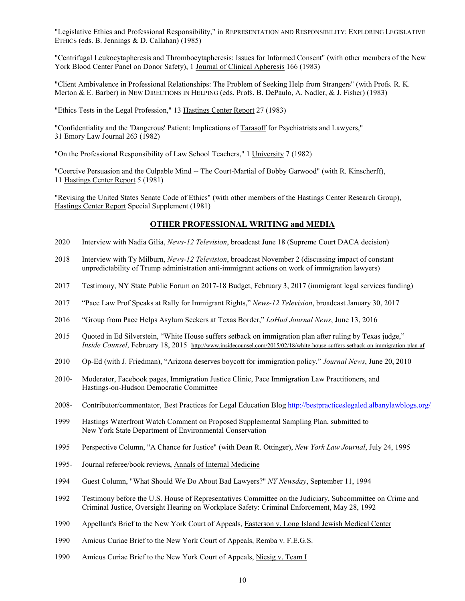"Legislative Ethics and Professional Responsibility," in REPRESENTATION AND RESPONSIBILITY: EXPLORING LEGISLATIVE ETHICS (eds. B. Jennings & D. Callahan) (1985)

"Centrifugal Leukocytapheresis and Thrombocytapheresis: Issues for Informed Consent" (with other members of the New York Blood Center Panel on Donor Safety), 1 Journal of Clinical Apheresis 166 (1983)

"Client Ambivalence in Professional Relationships: The Problem of Seeking Help from Strangers" (with Profs. R. K. Merton & E. Barber) in NEW DIRECTIONS IN HELPING (eds. Profs. B. DePaulo, A. Nadler, & J. Fisher) (1983)

"Ethics Tests in the Legal Profession," 13 Hastings Center Report 27 (1983)

"Confidentiality and the 'Dangerous' Patient: Implications of Tarasoff for Psychiatrists and Lawyers," 31 Emory Law Journal 263 (1982)

"On the Professional Responsibility of Law School Teachers," 1 University 7 (1982)

"Coercive Persuasion and the Culpable Mind -- The Court-Martial of Bobby Garwood" (with R. Kinscherff), 11 Hastings Center Report 5 (1981)

"Revising the United States Senate Code of Ethics" (with other members of the Hastings Center Research Group), Hastings Center Report Special Supplement (1981)

## **OTHER PROFESSIONAL WRITING and MEDIA**

- 2020 Interview with Nadia Gilia, *News-12 Television*, broadcast June 18 (Supreme Court DACA decision)
- 2018 Interview with Ty Milburn, *News-12 Television*, broadcast November 2 (discussing impact of constant unpredictability of Trump administration anti-immigrant actions on work of immigration lawyers)
- 2017 Testimony, NY State Public Forum on 2017-18 Budget, February 3, 2017 (immigrant legal services funding)
- 2017 "Pace Law Prof Speaks at Rally for Immigrant Rights," *News-12 Television*, broadcast January 30, 2017
- 2016 "Group from Pace Helps Asylum Seekers at Texas Border," *LoHud Journal News*, June 13, 2016
- 2015 Quoted in Ed Silverstein, "White House suffers setback on immigration plan after ruling by Texas judge," *Inside Counsel*, February 18, 2015 http://www.insidecounsel.com/2015/02/18/white-house-suffers-setback-on-immigration-plan-af
- 2010 Op-Ed (with J. Friedman), ["Arizona deserves boycott for immigration policy.](http://www.lohud.com/article/20100620/OPINION/6200354/Arizona-deserves-boycott-for-its-immigration-policy)" *Journal News*, June 20, 2010
- 2010- Moderator, Facebook pages, Immigration Justice Clinic, Pace Immigration Law Practitioners, and Hastings-on-Hudson Democratic Committee
- 2008- Contributor/commentator, Best Practices for Legal Education Blog<http://bestpracticeslegaled.albanylawblogs.org/>
- 1999 Hastings Waterfront Watch Comment on Proposed Supplemental Sampling Plan, submitted to New York State Department of Environmental Conservation
- 1995 Perspective Column, "A Chance for Justice" (with Dean R. Ottinger), *New York Law Journal*, July 24, 1995
- 1995- Journal referee/book reviews, Annals of Internal Medicine
- 1994 Guest Column, "What Should We Do About Bad Lawyers?" *NY Newsday*, September 11, 1994
- 1992 Testimony before the U.S. House of Representatives Committee on the Judiciary, Subcommittee on Crime and Criminal Justice, Oversight Hearing on Workplace Safety: Criminal Enforcement, May 28, 1992
- 1990 Appellant's Brief to the New York Court of Appeals, Easterson v. Long Island Jewish Medical Center
- 1990 Amicus Curiae Brief to the New York Court of Appeals, Remba v. F.E.G.S.
- 1990 Amicus Curiae Brief to the New York Court of Appeals, Niesig v. Team I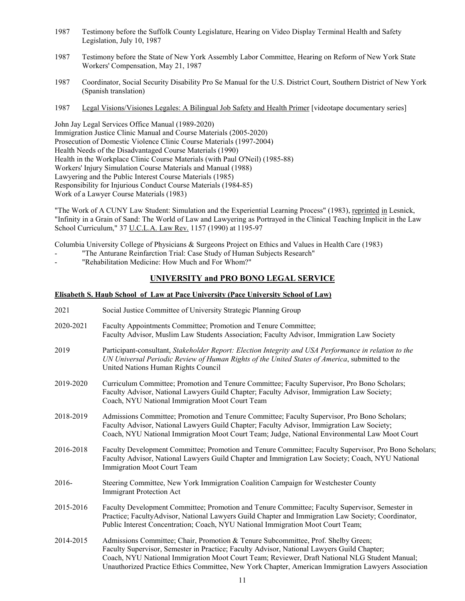- 1987 Testimony before the Suffolk County Legislature, Hearing on Video Display Terminal Health and Safety Legislation, July 10, 1987
- 1987 Testimony before the State of New York Assembly Labor Committee, Hearing on Reform of New York State Workers' Compensation, May 21, 1987
- 1987 Coordinator, Social Security Disability Pro Se Manual for the U.S. District Court, Southern District of New York (Spanish translation)
- 1987 Legal Visions/Visiones Legales: A Bilingual Job Safety and Health Primer [videotape documentary series]

John Jay Legal Services Office Manual (1989-2020) Immigration Justice Clinic Manual and Course Materials (2005-2020) Prosecution of Domestic Violence Clinic Course Materials (1997-2004) Health Needs of the Disadvantaged Course Materials (1990) Health in the Workplace Clinic Course Materials (with Paul O'Neil) (1985-88) Workers' Injury Simulation Course Materials and Manual (1988) Lawyering and the Public Interest Course Materials (1985) Responsibility for Injurious Conduct Course Materials (1984-85) Work of a Lawyer Course Materials (1983)

"The Work of A CUNY Law Student: Simulation and the Experiential Learning Process" (1983), reprinted in Lesnick, "Infinity in a Grain of Sand: The World of Law and Lawyering as Portrayed in the Clinical Teaching Implicit in the Law School Curriculum," 37 U.C.L.A. Law Rev. 1157 (1990) at 1195-97

Columbia University College of Physicians & Surgeons Project on Ethics and Values in Health Care (1983)

- "The Anturane Reinfarction Trial: Case Study of Human Subjects Research"
- "Rehabilitation Medicine: How Much and For Whom?"

# **UNIVERSITY and PRO BONO LEGAL SERVICE**

#### **Elisabeth S. Haub School of Law at Pace University (Pace University School of Law)**

| 2021      | Social Justice Committee of University Strategic Planning Group                                                                                                                                                                                                                                                                                                                        |
|-----------|----------------------------------------------------------------------------------------------------------------------------------------------------------------------------------------------------------------------------------------------------------------------------------------------------------------------------------------------------------------------------------------|
| 2020-2021 | Faculty Appointments Committee; Promotion and Tenure Committee;<br>Faculty Advisor, Muslim Law Students Association; Faculty Advisor, Immigration Law Society                                                                                                                                                                                                                          |
| 2019      | Participant-consultant, Stakeholder Report: Election Integrity and USA Performance in relation to the<br>UN Universal Periodic Review of Human Rights of the United States of America, submitted to the<br>United Nations Human Rights Council                                                                                                                                         |
| 2019-2020 | Curriculum Committee; Promotion and Tenure Committee; Faculty Supervisor, Pro Bono Scholars;<br>Faculty Advisor, National Lawyers Guild Chapter; Faculty Advisor, Immigration Law Society;<br>Coach, NYU National Immigration Moot Court Team                                                                                                                                          |
| 2018-2019 | Admissions Committee; Promotion and Tenure Committee; Faculty Supervisor, Pro Bono Scholars;<br>Faculty Advisor, National Lawyers Guild Chapter; Faculty Advisor, Immigration Law Society;<br>Coach, NYU National Immigration Moot Court Team; Judge, National Environmental Law Moot Court                                                                                            |
| 2016-2018 | Faculty Development Committee; Promotion and Tenure Committee; Faculty Supervisor, Pro Bono Scholars;<br>Faculty Advisor, National Lawyers Guild Chapter and Immigration Law Society; Coach, NYU National<br>Immigration Moot Court Team                                                                                                                                               |
| $2016-$   | Steering Committee, New York Immigration Coalition Campaign for Westchester County<br><b>Immigrant Protection Act</b>                                                                                                                                                                                                                                                                  |
| 2015-2016 | Faculty Development Committee; Promotion and Tenure Committee; Faculty Supervisor, Semester in<br>Practice; FacultyAdvisor, National Lawyers Guild Chapter and Immigration Law Society; Coordinator,<br>Public Interest Concentration; Coach, NYU National Immigration Moot Court Team;                                                                                                |
| 2014-2015 | Admissions Committee; Chair, Promotion & Tenure Subcommittee, Prof. Shelby Green;<br>Faculty Supervisor, Semester in Practice; Faculty Advisor, National Lawyers Guild Chapter;<br>Coach, NYU National Immigration Moot Court Team; Reviewer, Draft National NLG Student Manual;<br>Unauthorized Practice Ethics Committee, New York Chapter, American Immigration Lawyers Association |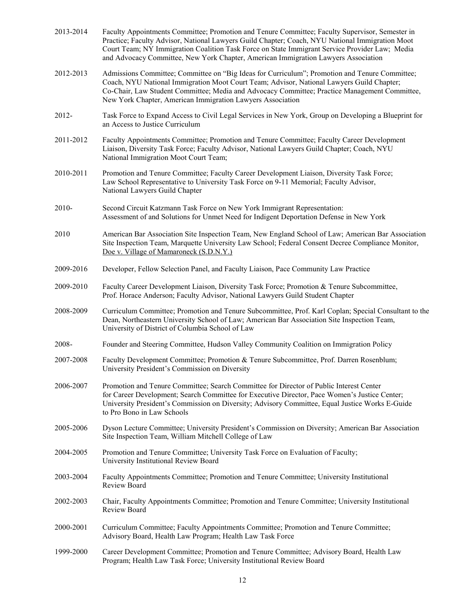| 2013-2014 | Faculty Appointments Committee; Promotion and Tenure Committee; Faculty Supervisor, Semester in<br>Practice; Faculty Advisor, National Lawyers Guild Chapter; Coach, NYU National Immigration Moot<br>Court Team; NY Immigration Coalition Task Force on State Immigrant Service Provider Law; Media<br>and Advocacy Committee, New York Chapter, American Immigration Lawyers Association |
|-----------|--------------------------------------------------------------------------------------------------------------------------------------------------------------------------------------------------------------------------------------------------------------------------------------------------------------------------------------------------------------------------------------------|
| 2012-2013 | Admissions Committee; Committee on "Big Ideas for Curriculum"; Promotion and Tenure Committee;<br>Coach, NYU National Immigration Moot Court Team; Advisor, National Lawyers Guild Chapter;<br>Co-Chair, Law Student Committee; Media and Advocacy Committee; Practice Management Committee,<br>New York Chapter, American Immigration Lawyers Association                                 |
| 2012-     | Task Force to Expand Access to Civil Legal Services in New York, Group on Developing a Blueprint for<br>an Access to Justice Curriculum                                                                                                                                                                                                                                                    |
| 2011-2012 | Faculty Appointments Committee; Promotion and Tenure Committee; Faculty Career Development<br>Liaison, Diversity Task Force; Faculty Advisor, National Lawyers Guild Chapter; Coach, NYU<br>National Immigration Moot Court Team;                                                                                                                                                          |
| 2010-2011 | Promotion and Tenure Committee; Faculty Career Development Liaison, Diversity Task Force;<br>Law School Representative to University Task Force on 9-11 Memorial; Faculty Advisor,<br>National Lawyers Guild Chapter                                                                                                                                                                       |
| 2010-     | Second Circuit Katzmann Task Force on New York Immigrant Representation:<br>Assessment of and Solutions for Unmet Need for Indigent Deportation Defense in New York                                                                                                                                                                                                                        |
| 2010      | American Bar Association Site Inspection Team, New England School of Law; American Bar Association<br>Site Inspection Team, Marquette University Law School; Federal Consent Decree Compliance Monitor,<br>Doe v. Village of Mamaroneck (S.D.N.Y.)                                                                                                                                         |
| 2009-2016 | Developer, Fellow Selection Panel, and Faculty Liaison, Pace Community Law Practice                                                                                                                                                                                                                                                                                                        |
| 2009-2010 | Faculty Career Development Liaison, Diversity Task Force; Promotion & Tenure Subcommittee,<br>Prof. Horace Anderson; Faculty Advisor, National Lawyers Guild Student Chapter                                                                                                                                                                                                               |
| 2008-2009 | Curriculum Committee; Promotion and Tenure Subcommittee, Prof. Karl Coplan; Special Consultant to the<br>Dean, Northeastern University School of Law; American Bar Association Site Inspection Team,<br>University of District of Columbia School of Law                                                                                                                                   |
| 2008-     | Founder and Steering Committee, Hudson Valley Community Coalition on Immigration Policy                                                                                                                                                                                                                                                                                                    |
| 2007-2008 | Faculty Development Committee; Promotion & Tenure Subcommittee, Prof. Darren Rosenblum;<br>University President's Commission on Diversity                                                                                                                                                                                                                                                  |
| 2006-2007 | Promotion and Tenure Committee; Search Committee for Director of Public Interest Center<br>for Career Development; Search Committee for Executive Director, Pace Women's Justice Center;<br>University President's Commission on Diversity; Advisory Committee, Equal Justice Works E-Guide<br>to Pro Bono in Law Schools                                                                  |
| 2005-2006 | Dyson Lecture Committee; University President's Commission on Diversity; American Bar Association<br>Site Inspection Team, William Mitchell College of Law                                                                                                                                                                                                                                 |
| 2004-2005 | Promotion and Tenure Committee; University Task Force on Evaluation of Faculty;<br>University Institutional Review Board                                                                                                                                                                                                                                                                   |
| 2003-2004 | Faculty Appointments Committee; Promotion and Tenure Committee; University Institutional<br>Review Board                                                                                                                                                                                                                                                                                   |
| 2002-2003 | Chair, Faculty Appointments Committee; Promotion and Tenure Committee; University Institutional<br>Review Board                                                                                                                                                                                                                                                                            |
| 2000-2001 | Curriculum Committee; Faculty Appointments Committee; Promotion and Tenure Committee;<br>Advisory Board, Health Law Program; Health Law Task Force                                                                                                                                                                                                                                         |
| 1999-2000 | Career Development Committee; Promotion and Tenure Committee; Advisory Board, Health Law<br>Program; Health Law Task Force; University Institutional Review Board                                                                                                                                                                                                                          |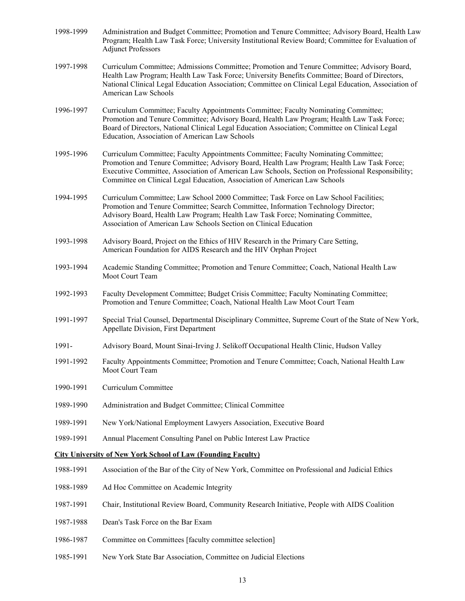| 1998-1999 | Administration and Budget Committee; Promotion and Tenure Committee; Advisory Board, Health Law<br>Program; Health Law Task Force; University Institutional Review Board; Committee for Evaluation of<br><b>Adjunct Professors</b>                                                                                                                                   |
|-----------|----------------------------------------------------------------------------------------------------------------------------------------------------------------------------------------------------------------------------------------------------------------------------------------------------------------------------------------------------------------------|
| 1997-1998 | Curriculum Committee; Admissions Committee; Promotion and Tenure Committee; Advisory Board,<br>Health Law Program; Health Law Task Force; University Benefits Committee; Board of Directors,<br>National Clinical Legal Education Association; Committee on Clinical Legal Education, Association of<br>American Law Schools                                         |
| 1996-1997 | Curriculum Committee; Faculty Appointments Committee; Faculty Nominating Committee;<br>Promotion and Tenure Committee; Advisory Board, Health Law Program; Health Law Task Force;<br>Board of Directors, National Clinical Legal Education Association; Committee on Clinical Legal<br>Education, Association of American Law Schools                                |
| 1995-1996 | Curriculum Committee; Faculty Appointments Committee; Faculty Nominating Committee;<br>Promotion and Tenure Committee; Advisory Board, Health Law Program; Health Law Task Force;<br>Executive Committee, Association of American Law Schools, Section on Professional Responsibility;<br>Committee on Clinical Legal Education, Association of American Law Schools |
| 1994-1995 | Curriculum Committee; Law School 2000 Committee; Task Force on Law School Facilities;<br>Promotion and Tenure Committee; Search Committee, Information Technology Director;<br>Advisory Board, Health Law Program; Health Law Task Force; Nominating Committee,<br>Association of American Law Schools Section on Clinical Education                                 |
| 1993-1998 | Advisory Board, Project on the Ethics of HIV Research in the Primary Care Setting,<br>American Foundation for AIDS Research and the HIV Orphan Project                                                                                                                                                                                                               |
| 1993-1994 | Academic Standing Committee; Promotion and Tenure Committee; Coach, National Health Law<br>Moot Court Team                                                                                                                                                                                                                                                           |
| 1992-1993 | Faculty Development Committee; Budget Crisis Committee; Faculty Nominating Committee;<br>Promotion and Tenure Committee; Coach, National Health Law Moot Court Team                                                                                                                                                                                                  |
| 1991-1997 | Special Trial Counsel, Departmental Disciplinary Committee, Supreme Court of the State of New York,<br>Appellate Division, First Department                                                                                                                                                                                                                          |
| 1991-     | Advisory Board, Mount Sinai-Irving J. Selikoff Occupational Health Clinic, Hudson Valley                                                                                                                                                                                                                                                                             |
| 1991-1992 | Faculty Appointments Committee; Promotion and Tenure Committee; Coach, National Health Law<br>Moot Court Team                                                                                                                                                                                                                                                        |
| 1990-1991 | Curriculum Committee                                                                                                                                                                                                                                                                                                                                                 |
| 1989-1990 | Administration and Budget Committee; Clinical Committee                                                                                                                                                                                                                                                                                                              |
| 1989-1991 | New York/National Employment Lawyers Association, Executive Board                                                                                                                                                                                                                                                                                                    |
| 1989-1991 | Annual Placement Consulting Panel on Public Interest Law Practice                                                                                                                                                                                                                                                                                                    |
|           | <b>City University of New York School of Law (Founding Faculty)</b>                                                                                                                                                                                                                                                                                                  |
| 1988-1991 | Association of the Bar of the City of New York, Committee on Professional and Judicial Ethics                                                                                                                                                                                                                                                                        |
| 1988-1989 | Ad Hoc Committee on Academic Integrity                                                                                                                                                                                                                                                                                                                               |
| 1987-1991 | Chair, Institutional Review Board, Community Research Initiative, People with AIDS Coalition                                                                                                                                                                                                                                                                         |
| 1987-1988 | Dean's Task Force on the Bar Exam                                                                                                                                                                                                                                                                                                                                    |
| 1986-1987 | Committee on Committees [faculty committee selection]                                                                                                                                                                                                                                                                                                                |
|           |                                                                                                                                                                                                                                                                                                                                                                      |

1985-1991 New York State Bar Association, Committee on Judicial Elections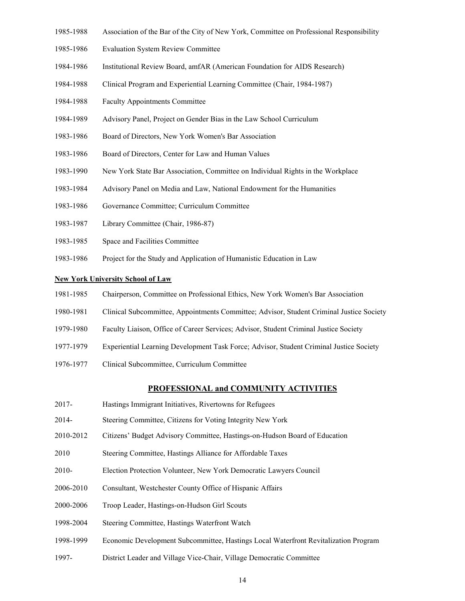- 1985-1988 Association of the Bar of the City of New York, Committee on Professional Responsibility
- 1985-1986 Evaluation System Review Committee
- 1984-1986 Institutional Review Board, amfAR (American Foundation for AIDS Research)
- 1984-1988 Clinical Program and Experiential Learning Committee (Chair, 1984-1987)
- 1984-1988 Faculty Appointments Committee
- 1984-1989 Advisory Panel, Project on Gender Bias in the Law School Curriculum
- 1983-1986 Board of Directors, New York Women's Bar Association
- 1983-1986 Board of Directors, Center for Law and Human Values
- 1983-1990 New York State Bar Association, Committee on Individual Rights in the Workplace
- 1983-1984 Advisory Panel on Media and Law, National Endowment for the Humanities
- 1983-1986 Governance Committee; Curriculum Committee
- 1983-1987 Library Committee (Chair, 1986-87)
- 1983-1985 Space and Facilities Committee
- 1983-1986 Project for the Study and Application of Humanistic Education in Law

#### **New York University School of Law**

- 1981-1985 Chairperson, Committee on Professional Ethics, New York Women's Bar Association
- 1980-1981 Clinical Subcommittee, Appointments Committee; Advisor, Student Criminal Justice Society
- 1979-1980 Faculty Liaison, Office of Career Services; Advisor, Student Criminal Justice Society
- 1977-1979 Experiential Learning Development Task Force; Advisor, Student Criminal Justice Society
- 1976-1977 Clinical Subcommittee, Curriculum Committee

#### **PROFESSIONAL and COMMUNITY ACTIVITIES**

- 2017- Hastings Immigrant Initiatives, Rivertowns for Refugees
- 2014- Steering Committee, Citizens for Voting Integrity New York
- 2010-2012 Citizens' Budget Advisory Committee, Hastings-on-Hudson Board of Education
- 2010 Steering Committee, Hastings Alliance for Affordable Taxes
- 2010- Election Protection Volunteer, New York Democratic Lawyers Council
- 2006-2010 Consultant, Westchester County Office of Hispanic Affairs
- 2000-2006 Troop Leader, Hastings-on-Hudson Girl Scouts
- 1998-2004 Steering Committee, Hastings Waterfront Watch
- 1998-1999 Economic Development Subcommittee, Hastings Local Waterfront Revitalization Program
- 1997- District Leader and Village Vice-Chair, Village Democratic Committee